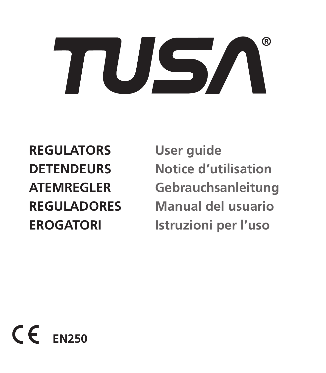## ® US,

**REGULATORS User guide**

**DETENDEURS Notice d'utilisation ATEMREGLER Gebrauchsanleitung REGULADORES Manual del usuario EROGATORI Istruzioni per l'uso**

 $C \in$ **EN250**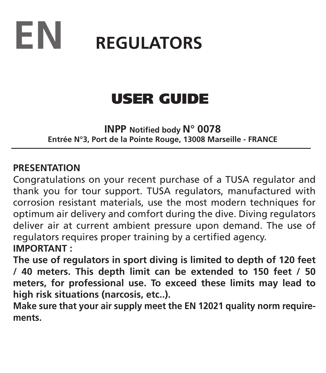

## USER GUIDE

**INPP Notified body N° 0078 Entrée N°3, Port de la Pointe Rouge, 13008 Marseille - FRANCE**

#### **PRESENTATION**

Congratulations on your recent purchase of a TUSA regulator and thank you for tour support. TUSA regulators, manufactured with corrosion resistant materials, use the most modern techniques for optimum air delivery and comfort during the dive. Diving regulators deliver air at current ambient pressure upon demand. The use of regulators requires proper training by a certified agency. **IMPORTANT :**

**The use of regulators in sport diving is limited to depth of 120 feet / 40 meters. This depth limit can be extended to 150 feet / 50 meters, for professional use. To exceed these limits may lead to high risk situations (narcosis, etc..).**

**Make sure that your air supply meet the EN 12021 quality norm requirements.**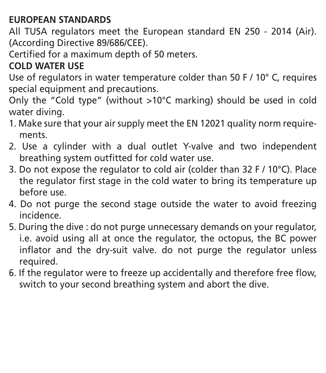#### **EUROPEAN STANDARDS**

All TUSA regulators meet the European standard EN 250 - 2014 (Air). (According Directive 89/686/CEE).

Certified for a maximum depth of 50 meters.

#### **COLD WATER USE**

Use of regulators in water temperature colder than 50 F  $/$  10 $^{\circ}$  C. requires special equipment and precautions.

Only the "Cold type" (without >10°C marking) should be used in cold water diving.

- 1. Make sure that your air supply meet the EN 12021 quality norm requirements.
- 2. Use a cylinder with a dual outlet Y-valve and two independent breathing system outfitted for cold water use.
- 3. Do not expose the regulator to cold air (colder than 32 F / 10°C). Place the regulator first stage in the cold water to bring its temperature up before use.
- 4. Do not purge the second stage outside the water to avoid freezing incidence.
- 5. During the dive : do not purge unnecessary demands on your regulator, i.e. avoid using all at once the regulator, the octopus, the BC power inflator and the dry-suit valve. do not purge the regulator unless required.
- 6. If the regulator were to freeze up accidentally and therefore free flow, switch to your second breathing system and abort the dive.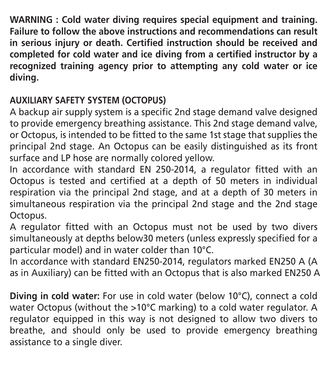**WARNING : Cold water diving requires special equipment and training. Failure to follow the above instructions and recommendations can result in serious injury or death. Certified instruction should be received and completed for cold water and ice diving from a certified instructor by a recognized training agency prior to attempting any cold water or ice diving.**

#### **AUXILIARY SAFETY SYSTEM (OCTOPUS)**

A backup air supply system is a specific 2nd stage demand valve designed to provide emergency breathing assistance. This 2nd stage demand valve, or Octopus, is intended to be fitted to the same 1st stage that supplies the principal 2nd stage. An Octopus can be easily distinguished as its front surface and LP hose are normally colored yellow.

In accordance with standard EN 250-2014, a regulator fitted with an Octopus is tested and certified at a depth of 50 meters in individual respiration via the principal 2nd stage, and at a depth of 30 meters in simultaneous respiration via the principal 2nd stage and the 2nd stage Octopus.

A regulator fitted with an Octopus must not be used by two divers simultaneously at depths below30 meters (unless expressly specified for a particular model) and in water colder than 10°C.

In accordance with standard EN250-2014, regulators marked EN250 A (A as in Auxiliary) can be fitted with an Octopus that is also marked EN250 A

**Diving in cold water:** For use in cold water (below 10°C), connect a cold water Octopus (without the >10°C marking) to a cold water regulator. A regulator equipped in this way is not designed to allow two divers to breathe, and should only be used to provide emergency breathing assistance to a single diver.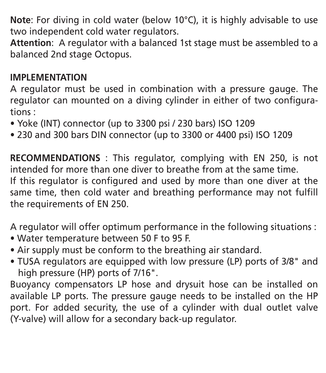**Note**: For diving in cold water (below 10°C), it is highly advisable to use two independent cold water regulators.

**Attention**: A regulator with a balanced 1st stage must be assembled to a balanced 2nd stage Octopus.

#### **IMPLEMENTATION**

A regulator must be used in combination with a pressure gauge. The regulator can mounted on a diving cylinder in either of two configurations :

- Yoke (INT) connector (up to 3300 psi / 230 bars) ISO 1209
- 230 and 300 bars DIN connector (up to 3300 or 4400 psi) ISO 1209

**RECOMMENDATIONS** : This regulator, complying with EN 250, is not intended for more than one diver to breathe from at the same time. If this regulator is configured and used by more than one diver at the same time, then cold water and breathing performance may not fulfill the requirements of EN 250.

A regulator will offer optimum performance in the following situations :

- Water temperature between 50 F to 95 F.
- Air supply must be conform to the breathing air standard.
- TUSA regulators are equipped with low pressure (LP) ports of 3/8" and high pressure (HP) ports of 7/16".

Buoyancy compensators LP hose and drysuit hose can be installed on available LP ports. The pressure gauge needs to be installed on the HP port. For added security, the use of a cylinder with dual outlet valve (Y-valve) will allow for a secondary back-up regulator.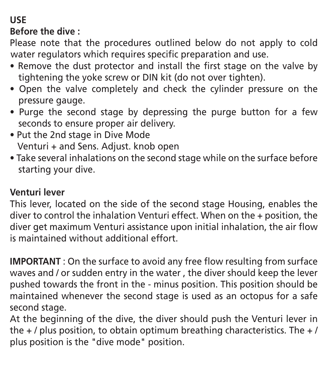#### **USE**

**Before the dive :**

Please note that the procedures outlined below do not apply to cold water regulators which requires specific preparation and use.

- Remove the dust protector and install the first stage on the valve by tightening the yoke screw or DIN kit (do not over tighten).
- Open the valve completely and check the cylinder pressure on the pressure gauge.
- Purge the second stage by depressing the purge button for a few seconds to ensure proper air delivery.
- . Put the 2nd stage in Dive Mode Venturi + and Sens. Adjust. knob open
- Take several inhalations on the second stage while on the surface before starting your dive.

#### **Venturi lever**

This lever, located on the side of the second stage Housing, enables the diver to control the inhalation Venturi effect. When on the + position, the diver get maximum Venturi assistance upon initial inhalation, the air flow is maintained without additional effort.

**IMPORTANT** : On the surface to avoid any free flow resulting from surface waves and / or sudden entry in the water , the diver should keep the lever pushed towards the front in the - minus position. This position should be maintained whenever the second stage is used as an octopus for a safe second stage.

At the beginning of the dive, the diver should push the Venturi lever in the  $+$  / plus position, to obtain optimum breathing characteristics. The  $+$  / plus position is the "dive mode" position.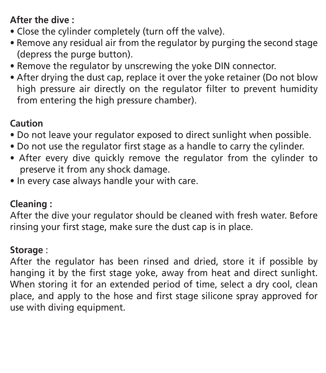#### **After the dive :**

- Close the cylinder completely (turn off the valve).
- Remove any residual air from the regulator by purging the second stage (depress the purge button).
- Remove the regulator by unscrewing the yoke DIN connector.
- After drying the dust cap, replace it over the yoke retainer (Do not blow high pressure air directly on the regulator filter to prevent humidity from entering the high pressure chamber).

#### **Caution**

- Do not leave your regulator exposed to direct sunlight when possible.
- Do not use the regulator first stage as a handle to carry the cylinder.
- After every dive quickly remove the requiator from the cylinder to preserve it from any shock damage.
- In every case always handle your with care.

#### **Cleaning :**

After the dive your regulator should be cleaned with fresh water. Before rinsing your first stage, make sure the dust cap is in place.

#### **Storage** :

After the regulator has been rinsed and dried, store it if possible by hanging it by the first stage yoke, away from heat and direct sunlight. When storing it for an extended period of time, select a dry cool, clean place, and apply to the hose and first stage silicone spray approved for use with diving equipment.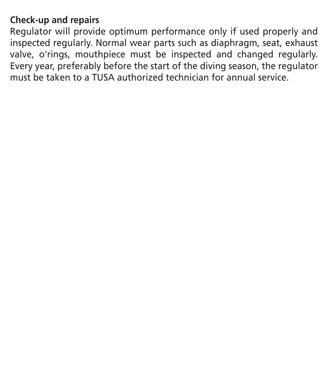#### **Check-up and repairs**

Regulator will provide optimum performance only if used properly and inspected regularly. Normal wear parts such as diaphragm, seat, exhaust valve, o'rings, mouthpiece must be inspected and changed regularly. Every year, preferably before the start of the diving season, the regulator must be taken to a TUSA authorized technician for annual service.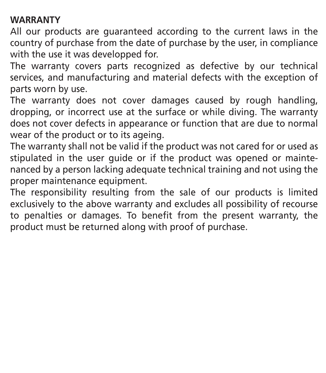#### **WARRANTY**

All our products are guaranteed according to the current laws in the country of purchase from the date of purchase by the user, in compliance with the use it was developped for.

The warranty covers parts recognized as defective by our technical services, and manufacturing and material defects with the exception of parts worn by use.

The warranty does not cover damages caused by rough handling, dropping, or incorrect use at the surface or while diving. The warranty does not cover defects in appearance or function that are due to normal wear of the product or to its ageing.

The warranty shall not be valid if the product was not cared for or used as stipulated in the user guide or if the product was opened or maintenanced by a person lacking adequate technical training and not using the proper maintenance equipment.

The responsibility resulting from the sale of our products is limited exclusively to the above warranty and excludes all possibility of recourse to penalties or damages. To benefit from the present warranty, the product must be returned along with proof of purchase.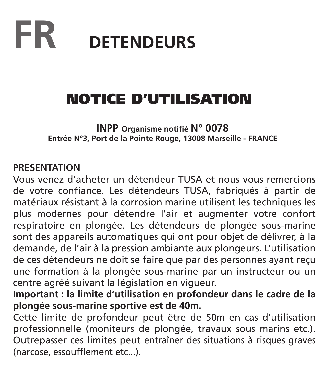## **FR DETENDEURS**

## NOTICE D'UTILISATION

**INPP Organisme notifié N° 0078 Entrée N°3, Port de la Pointe Rouge, 13008 Marseille - FRANCE**

#### **PRESENTATION**

Vous venez d'acheter un détendeur TUSA et nous vous remercions de votre confiance. Les détendeurs TUSA, fabriqués à partir de matériaux résistant à la corrosion marine utilisent les techniques les plus modernes pour détendre l'air et augmenter votre confort respiratoire en plongée. Les détendeurs de plongée sous-marine sont des appareils automatiques qui ont pour objet de délivrer, à la demande, de l'air à la pression ambiante aux plongeurs. L'utilisation de ces détendeurs ne doit se faire que par des personnes ayant reçu une formation à la plongée sous-marine par un instructeur ou un centre agréé suivant la législation en vigueur.

**Important : la limite d'utilisation en profondeur dans le cadre de la plongée sous-marine sportive est de 40m.**

Cette limite de profondeur peut être de 50m en cas d'utilisation professionnelle (moniteurs de plongée, travaux sous marins etc.). Outrepasser ces limites peut entraîner des situations à risques graves (narcose, essoufflement etc...).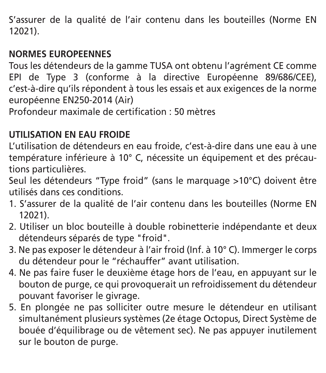S'assurer de la qualité de l'air contenu dans les bouteilles (Norme EN 12021).

#### **NORMES EUROPEENNES**

Tous les détendeurs de la gamme TUSA ont obtenu l'agrément CE comme EPI de Type 3 (conforme à la directive Européenne 89/686/CEE), c'est-à-dire qu'ils répondent à tous les essais et aux exigences de la norme européenne EN250-2014 (Air)

Profondeur maximale de certification : 50 mètres

#### **UTILISATION EN EAU FROIDE**

L'utilisation de détendeurs en eau froide, c'est-à-dire dans une eau à une température inférieure à 10° C, nécessite un équipement et des précautions particulières.

Seul les détendeurs "Type froid" (sans le marquage >10°C) doivent être utilisés dans ces conditions.

- 1. S'assurer de la qualité de l'air contenu dans les bouteilles (Norme EN 12021).
- 2. Utiliser un bloc bouteille à double robinetterie indépendante et deux détendeurs séparés de type "froid".
- 3. Ne pas exposer le détendeur à l'air froid (Inf. à 10° C). Immerger le corps du détendeur pour le "réchauffer" avant utilisation.
- 4. Ne pas faire fuser le deuxième étage hors de l'eau, en appuyant sur le bouton de purge, ce qui provoquerait un refroidissement du détendeur pouvant favoriser le givrage.
- 5. En plongée ne pas solliciter outre mesure le détendeur en utilisant simultanément plusieurs systèmes (2e étage Octopus, Direct Système de bouée d'équilibrage ou de vêtement sec). Ne pas appuyer inutilement sur le bouton de purge.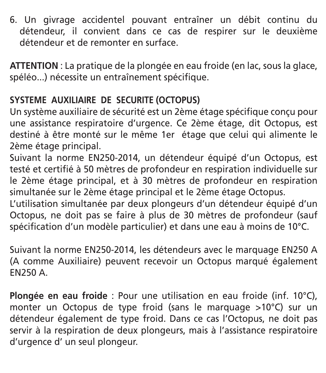6. Un givrage accidentel pouvant entraîner un débit continu du détendeur, il convient dans ce cas de respirer sur le deuxième détendeur et de remonter en surface.

**ATTENTION** : La pratique de la plongée en eau froide (en lac, sous la glace, spéléo...) nécessite un entraînement spécifique.

#### **SYSTEME AUXILIAIRE DE SECURITE (OCTOPUS)**

Un système auxiliaire de sécurité est un 2ème étage spécifique conçu pour une assistance respiratoire d'urgence. Ce 2ème étage, dit Octopus, est destiné à être monté sur le même 1er étage que celui qui alimente le 2ème étage principal.

Suivant la norme EN250-2014, un détendeur équipé d'un Octopus, est testé et certifié à 50 mètres de profondeur en respiration individuelle sur le 2ème étage principal, et à 30 mètres de profondeur en respiration simultanée sur le 2ème étage principal et le 2ème étage Octopus.

L'utilisation simultanée par deux plongeurs d'un détendeur équipé d'un Octopus, ne doit pas se faire à plus de 30 mètres de profondeur (sauf spécification d'un modèle particulier) et dans une eau à moins de 10°C.

Suivant la norme EN250-2014, les détendeurs avec le marquage EN250 A (A comme Auxiliaire) peuvent recevoir un Octopus marqué également EN250 A.

**Plongée en eau froide** : Pour une utilisation en eau froide (inf. 10°C), monter un Octopus de type froid (sans le marquage >10°C) sur un détendeur également de type froid. Dans ce cas l'Octopus, ne doit pas servir à la respiration de deux plongeurs, mais à l'assistance respiratoire d'urgence d' un seul plongeur.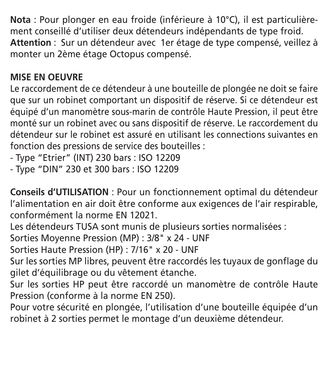**Nota** : Pour plonger en eau froide (inférieure à 10°C), il est particulièrement conseillé d'utiliser deux détendeurs indépendants de type froid. **Attention** : Sur un détendeur avec 1er étage de type compensé, veillez à monter un 2ème étage Octopus compensé.

#### **MISE EN OEUVRE**

Le raccordement de ce détendeur à une bouteille de plongée ne doit se faire que sur un robinet comportant un dispositif de réserve. Si ce détendeur est équipé d'un manomètre sous-marin de contrôle Haute Pression, il peut être monté sur un robinet avec ou sans dispositif de réserve. Le raccordement du détendeur sur le robinet est assuré en utilisant les connections suivantes en fonction des pressions de service des bouteilles :

- Type "Etrier" (INT) 230 bars : ISO 12209

- Type "DIN" 230 et 300 bars : ISO 12209

**Conseils d'UTILISATION** : Pour un fonctionnement optimal du détendeur l'alimentation en air doit être conforme aux exigences de l'air respirable, conformément la norme EN 12021.

Les détendeurs TUSA sont munis de plusieurs sorties normalisées :

Sorties Moyenne Pression (MP) : 3/8" x 24 - UNF

Sorties Haute Pression (HP) : 7/16" x 20 - UNF

Sur les sorties MP libres, peuvent être raccordés les tuyaux de gonflage du gilet d'équilibrage ou du vêtement étanche.

Sur les sorties HP peut être raccordé un manomètre de contrôle Haute Pression (conforme à la norme EN 250).

Pour votre sécurité en plongée, l'utilisation d'une bouteille équipée d'un robinet à 2 sorties permet le montage d'un deuxième détendeur.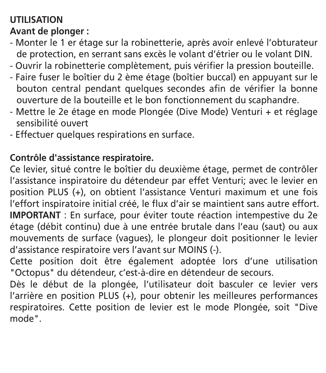#### **UTILISATION Avant de plonger :**

- Monter le 1 er étage sur la robinetterie, après avoir enlevé l'obturateur de protection, en serrant sans excès le volant d'étrier ou le volant DIN.
- Ouvrir la robinetterie complètement, puis vérifier la pression bouteille.
- Faire fuser le boîtier du 2 ème étage (boîtier buccal) en appuyant sur le bouton central pendant quelques secondes afin de vérifier la bonne ouverture de la bouteille et le bon fonctionnement du scaphandre.
- Mettre le 2e étage en mode Plongée (Dive Mode) Venturi + et réglage sensibilité ouvert
- Effectuer quelques respirations en surface.

#### **Contrôle d'assistance respiratoire.**

Ce levier, situé contre le boîtier du deuxième étage, permet de contrôler l'assistance inspiratoire du détendeur par effet Venturi; avec le levier en position PLUS (+), on obtient l'assistance Venturi maximum et une fois l'effort inspiratoire initial créé, le flux d'air se maintient sans autre effort. **IMPORTANT** : En surface, pour éviter toute réaction intempestive du 2e étage (débit continu) due à une entrée brutale dans l'eau (saut) ou aux mouvements de surface (vagues), le plongeur doit positionner le levier d'assistance respiratoire vers l'avant sur MOINS (-).

Cette position doit être également adoptée lors d'une utilisation "Octopus" du détendeur, c'est-à-dire en détendeur de secours.

Dès le début de la plongée, l'utilisateur doit basculer ce levier vers l'arrière en position PLUS (+), pour obtenir les meilleures performances respiratoires. Cette position de levier est le mode Plongée, soit "Dive mode".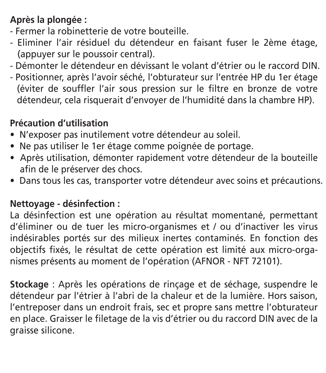#### **Après la plongée :**

- Fermer la robinetterie de votre bouteille.
- Eliminer l'air résiduel du détendeur en faisant fuser le 2ème étage, (appuyer sur le poussoir central).
- Démonter le détendeur en dévissant le volant d'étrier ou le raccord DIN.
- Positionner, après l'avoir séché, l'obturateur sur l'entrée HP du 1er étage (éviter de souffler l'air sous pression sur le filtre en bronze de votre détendeur, cela risquerait d'envoyer de l'humidité dans la chambre HP).

#### **Précaution d'utilisation**

- · N'exposer pas inutilement votre détendeur au soleil.
- · Ne pas utiliser le 1er étage comme poignée de portage.
- Après utilisation, démonter rapidement votre détendeur de la bouteille afin de le préserver des chocs.
- Dans tous les cas, transporter votre détendeur avec soins et précautions.

#### **Nettoyage - désinfection :**

La désinfection est une opération au résultat momentané, permettant d'éliminer ou de tuer les micro-organismes et / ou d'inactiver les virus indésirables portés sur des milieux inertes contaminés. En fonction des objectifs fixés, le résultat de cette opération est limité aux micro-organismes présents au moment de l'opération (AFNOR - NFT 72101).

**Stockage** : Après les opérations de rinçage et de séchage, suspendre le détendeur par l'étrier à l'abri de la chaleur et de la lumière. Hors saison, l'entreposer dans un endroit frais, sec et propre sans mettre l'obturateur en place. Graisser le filetage de la vis d'étrier ou du raccord DIN avec de la graisse silicone.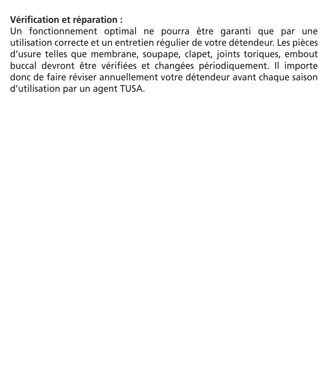#### **Vérification et réparation :**

Un fonctionnement optimal ne pourra être garanti que par une utilisation correcte et un entretien régulier de votre détendeur. Les pièces d'usure telles que membrane, soupape, clapet, joints toriques, embout buccal devront être vérifiées et changées périodiquement. Il importe donc de faire réviser annuellement votre détendeur avant chaque saison d'utilisation par un agent TUSA.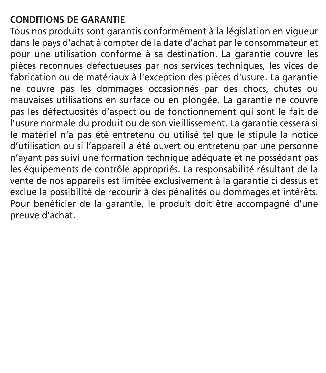#### **CONDITIONS DE GARANTIE**

Tous nos produits sont garantis conformément à la législation en vigueur dans le pays d'achat à compter de la date d'achat par le consommateur et pour une utilisation conforme à sa destination. La garantie couvre les pièces reconnues défectueuses par nos services techniques, les vices de fabrication ou de matériaux à l'exception des pièces d'usure. La garantie ne couvre pas les dommages occasionnés par des chocs, chutes ou mauvaises utilisations en surface ou en plongée. La garantie ne couvre pas les défectuosités d'aspect ou de fonctionnement qui sont le fait de l'usure normale du produit ou de son vieillissement. La garantie cessera si le matériel n'a pas été entretenu ou utilisé tel que le stipule la notice d'utilisation ou si l'appareil a été ouvert ou entretenu par une personne n'ayant pas suivi une formation technique adéquate et ne possédant pas les équipements de contrôle appropriés. La responsabilité résultant de la vente de nos appareils est limitée exclusivement à la garantie ci dessus et exclue la possibilité de recourir à des pénalités ou dommages et intérêts. Pour bénéficier de la garantie, le produit doit être accompagné d'une preuve d'achat.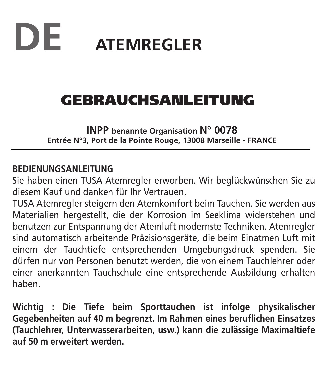# **DE ATEMREGLER**

### GEBRAUCHSANLEITUNG

**INPP benannte Organisation N° 0078 Entrée N°3, Port de la Pointe Rouge, 13008 Marseille - FRANCE**

#### **BEDIENUNGSANLEITUNG**

Sie haben einen TUSA Atemregler erworben. Wir beglückwünschen Sie zu diesem Kauf und danken für Ihr Vertrauen.

TUSA Atemregler steigern den Atemkomfort beim Tauchen. Sie werden aus Materialien hergestellt, die der Korrosion im Seeklima widerstehen und benutzen zur Entspannung der Atemluft modernste Techniken. Atemregler sind automatisch arbeitende Präzisionsgeräte, die beim Einatmen Luft mit einem der Tauchtiefe entsprechenden Umgebungsdruck spenden. Sie dürfen nur von Personen benutzt werden, die von einem Tauchlehrer oder einer anerkannten Tauchschule eine entsprechende Ausbildung erhalten haben.

**Wichtig : Die Tiefe beim Sporttauchen ist infolge physikalischer Gegebenheiten auf 40 m begrenzt. Im Rahmen eines beruflichen Einsatzes (Tauchlehrer, Unterwasserarbeiten, usw.) kann die zulässige Maximaltiefe auf 50 m erweitert werden.**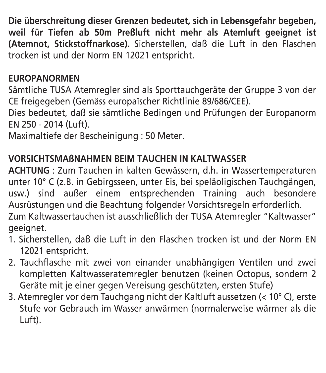**Die überschreitung dieser Grenzen bedeutet, sich in Lebensgefahr begeben, weil für Tiefen ab 50m Preßluft nicht mehr als Atemluft geeignet ist (Atemnot, Stickstoffnarkose).** Sicherstellen, daß die Luft in den Flaschen trocken ist und der Norm EN 12021 entspricht.

#### **EUROPANORMEN**

Sämtliche TUSA Atemregler sind als Sporttauchgeräte der Gruppe 3 von der CE freigegeben (Gemäss europaïscher Richtlinie 89/686/CEE).

Dies bedeutet, daß sie sämtliche Bedingen und Prüfungen der Europanorm EN 250 - 2014 (Luft).

Maximaltiefe der Bescheinigung : 50 Meter.

#### **VORSICHTSMAßNAHMEN BEIM TAUCHEN IN KALTWASSER**

**ACHTUNG** : Zum Tauchen in kalten Gewässern, d.h. in Wassertemperaturen unter 10° C (z.B. in Gebirgsseen, unter Eis, bei speläoligischen Tauchgängen, usw.) sind außer einem entsprechenden Training auch besondere Ausrüstungen und die Beachtung folgender Vorsichtsregeln erforderlich. Zum Kaltwassertauchen ist ausschließlich der TUSA Atemregler "Kaltwasser" geeignet.

- 1. Sicherstellen, daß die Luft in den Flaschen trocken ist und der Norm EN 12021 entspricht.
- 2. Tauchflasche mit zwei von einander unabhängigen Ventilen und zwei kompletten Kaltwasseratemregler benutzen (keinen Octopus, sondern 2 Geräte mit je einer gegen Vereisung geschützten, ersten Stufe)
- 3. Atemregler vor dem Tauchgang nicht der Kaltluft aussetzen (< 10° C), erste Stufe vor Gebrauch im Wasser anwärmen (normalerweise wärmer als die Luft).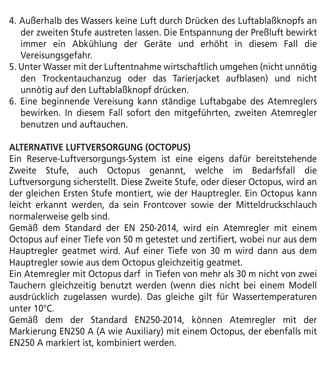- 4. Außerhalb des Wassers keine Luft durch Drücken des Luftablaßknopfs an der zweiten Stufe austreten lassen. Die Entspannung der Preßluft bewirkt immer ein Abkühlung der Geräte und erhöht in diesem Fall die Vereisungsgefahr.
- 5. Unter Wasser mit der Luftentnahme wirtschaftlich umgehen (nicht unnötig den Trockentauchanzug oder das Tarierjacket aufblasen) und nicht unnötig auf den Luftablaßknopf drücken.
- 6. Eine beginnende Vereisung kann ständige Luftabgabe des Atemreglers bewirken. In diesem Fall sofort den mitgeführten, zweiten Atemregler benutzen und auftauchen.

#### **ALTERNATIVE LUFTVERSORGUNG (OCTOPUS)**

Ein Reserve-Luftversorgungs-System ist eine eigens dafür bereitstehende Zweite Stufe, auch Octopus genannt, welche im Bedarfsfall die Luftversorgung sicherstellt. Diese Zweite Stufe, oder dieser Octopus, wird an der gleichen Ersten Stufe montiert, wie der Hauptregler. Ein Octopus kann leicht erkannt werden, da sein Frontcover sowie der Mitteldruckschlauch normalerweise gelb sind.

- Gemäß dem Standard der EN 250-2014, wird ein Atemregler mit einem Octopus auf einer Tiefe von 50 m getestet und zertifiert, wobei nur aus dem Hauptregler geatmet wird. Auf einer Tiefe von 30 m wird dann aus dem Hauptregler sowie aus dem Octopus gleichzeitig geatmet.
- Ein Atemregler mit Octopus darf in Tiefen von mehr als 30 m nicht von zwei Tauchern gleichzeitig benutzt werden (wenn dies nicht bei einem Modell ausdrücklich zugelassen wurde). Das gleiche gilt für Wassertemperaturen unter 10°C.
- Gemäß dem der Standard EN250-2014, können Atemregler mit der Markierung EN250 A (A wie Auxiliary) mit einem Octopus, der ebenfalls mit EN250 A markiert ist, kombiniert werden.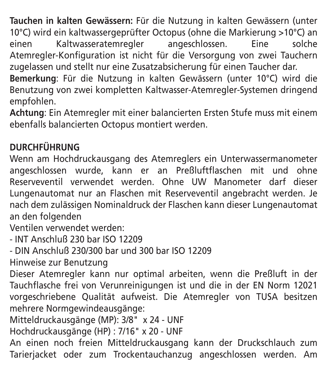**Tauchen in kalten Gewässern:** Für die Nutzung in kalten Gewässern (unter 10°C) wird ein kaltwassergeprüfter Octopus (ohne die Markierung >10°C) an einen Kaltwasseratemregler angeschlossen. Eine Atemregler-Konfiguration ist nicht für die Versorgung von zwei Tauchern zugelassen und stellt nur eine Zusatzabsicherung für einen Taucher dar.

**Bemerkung**: Für die Nutzung in kalten Gewässern (unter 10°C) wird die Benutzung von zwei kompletten Kaltwasser-Atemregler-Systemen dringend empfohlen.

**Achtung**: Ein Atemregler mit einer balancierten Ersten Stufe muss mit einem ebenfalls balancierten Octopus montiert werden.

#### **DURCHFÜHRUNG**

Wenn am Hochdruckausgang des Atemreglers ein Unterwassermanometer angeschlossen wurde, kann er an Preßluftflaschen mit und ohne Reserveventil verwendet werden. Ohne UW Manometer darf dieser Lungenautomat nur an Flaschen mit Reserveventil angebracht werden. Je nach dem zulässigen Nominaldruck der Flaschen kann dieser Lungenautomat an den folgenden

Ventilen verwendet werden:

- INT Anschluß 230 bar ISO 12209

- DIN Anschluß 230/300 bar und 300 bar ISO 12209

Hinweise zur Benutzung

Dieser Atemregler kann nur optimal arbeiten, wenn die Preßluft in der Tauchflasche frei von Verunreinigungen ist und die in der EN Norm 12021 vorgeschriebene Qualität aufweist. Die Atemregler von TUSA besitzen mehrere Normgewindeausgänge:

Mitteldruckausgänge (MP): 3/8" x 24 - UNF

Hochdruckausgänge (HP) : 7/16" x 20 - UNF

An einen noch freien Mitteldruckausgang kann der Druckschlauch zum Tarierjacket oder zum Trockentauchanzug angeschlossen werden. Am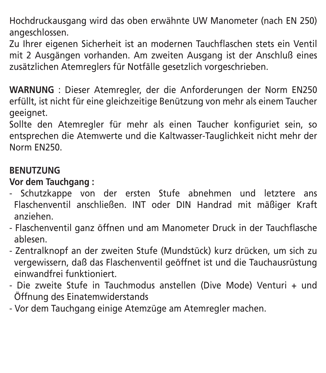Hochdruckausgang wird das oben erwähnte UW Manometer (nach EN 250) angeschlossen.

Zu Ihrer eigenen Sicherheit ist an modernen Tauchflaschen stets ein Ventil mit 2 Ausgängen vorhanden. Am zweiten Ausgang ist der Anschluß eines zusätzlichen Atemreglers für Notfälle gesetzlich vorgeschrieben.

**WARNUNG** : Dieser Atemregler, der die Anforderungen der Norm EN250 erfüllt, ist nicht für eine gleichzeitige Benützung von mehr als einem Taucher geeignet.

Sollte den Atemregler für mehr als einen Taucher konfiguriet sein, so entsprechen die Atemwerte und die Kaltwasser-Tauglichkeit nicht mehr der Norm EN250.

#### **BENUTZUNG**

**Vor dem Tauchgang :**

- Schutzkappe von der ersten Stufe abnehmen und letztere ans Flaschenventil anschließen. INT oder DIN Handrad mit mäßiger Kraft anziehen.
- Flaschenventil ganz öffnen und am Manometer Druck in der Tauchflasche ablesen.
- Zentralknopf an der zweiten Stufe (Mundstück) kurz drücken, um sich zu vergewissern, daß das Flaschenventil geöffnet ist und die Tauchausrüstung einwandfrei funktioniert.
- Die zweite Stufe in Tauchmodus anstellen (Dive Mode) Venturi + und Öffnung des Einatemwiderstands
- Vor dem Tauchgang einige Atemzüge am Atemregler machen.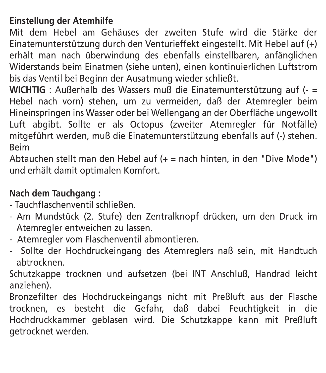#### **Einstellung der Atemhilfe**

Mit dem Hebel am Gehäuses der zweiten Stufe wird die Stärke der Einatemunterstützung durch den Venturieffekt eingestellt. Mit Hebel auf (+) erhält man nach überwindung des ebenfalls einstellbaren, anfänglichen Widerstands beim Einatmen (siehe unten), einen kontinuierlichen Luftstrom bis das Ventil bei Beginn der Ausatmung wieder schließt.

**WICHTIG** : Außerhalb des Wassers muß die Einatemunterstützung auf (- = Hebel nach vorn) stehen, um zu vermeiden, daß der Atemregler beim Hineinspringen ins Wasser oder bei Wellengang an der Oberfläche ungewollt Luft abgibt. Sollte er als Octopus (zweiter Atemregler für Notfälle) mitgeführt werden, muß die Einatemunterstützung ebenfalls auf (-) stehen. Beim

Abtauchen stellt man den Hebel auf (+ = nach hinten, in den "Dive Mode") und erhält damit optimalen Komfort.

#### **Nach dem Tauchgang :**

- Tauchflaschenventil schließen.
- Am Mundstück (2. Stufe) den Zentralknopf drücken, um den Druck im Atemregler entweichen zu lassen.
- Atemregler vom Flaschenventil abmontieren.
- Sollte der Hochdruckeingang des Atemreglers naß sein, mit Handtuch abtrocknen.

Schutzkappe trocknen und aufsetzen (bei INT Anschluß, Handrad leicht anziehen).

Bronzefilter des Hochdruckeingangs nicht mit Preßluft aus der Flasche trocknen, es besteht die Gefahr, daß dabei Feuchtigkeit in die Hochdruckkammer geblasen wird. Die Schutzkappe kann mit Preßluft getrocknet werden.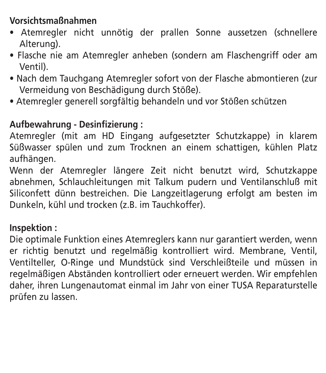#### **Vorsichtsmaßnahmen**

- Atemregler nicht unnötig der prallen Sonne aussetzen (schnellere Alterung).
- Flasche nie am Atemregler anheben (sondern am Flaschengriff oder am Ventil).
- · Nach dem Tauchgang Atemregler sofort von der Flasche abmontieren (zur Vermeidung von Beschädigung durch Stöße).
- · Atemregler generell sorgfältig behandeln und vor Stößen schützen

#### **Aufbewahrung - Desinfizierung :**

Atemregler (mit am HD Eingang aufgesetzter Schutzkappe) in klarem Süßwasser spülen und zum Trocknen an einem schattigen, kühlen Platz aufhängen.

Wenn der Atemregler längere Zeit nicht benutzt wird. Schutzkappe abnehmen, Schlauchleitungen mit Talkum pudern und Ventilanschluß mit Siliconfett dünn bestreichen. Die Langzeitlagerung erfolgt am besten im Dunkeln, kühl und trocken (z.B. im Tauchkoffer).

#### **Inspektion :**

Die optimale Funktion eines Atemreglers kann nur garantiert werden, wenn er richtig benutzt und regelmäßig kontrolliert wird. Membrane, Ventil, Ventilteller, O-Ringe und Mundstück sind Verschleißteile und müssen in regelmäßigen Abständen kontrolliert oder erneuert werden. Wir empfehlen daher, ihren Lungenautomat einmal im Jahr von einer TUSA Reparaturstelle prüfen zu lassen.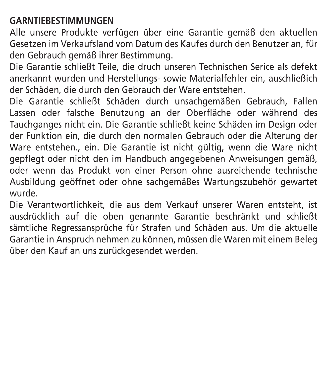#### **GARNTIEBESTIMMUNGEN**

Alle unsere Produkte verfügen über eine Garantie gemäß den aktuellen Gesetzen im Verkaufsland vom Datum des Kaufes durch den Benutzer an, für den Gebrauch gemäß ihrer Bestimmung.

Die Garantie schließt Teile, die druch unseren Technischen Serice als defekt anerkannt wurden und Herstellungs- sowie Materialfehler ein, auschließich der Schäden, die durch den Gebrauch der Ware entstehen.

Die Garantie schließt Schäden durch unsachgemäßen Gebrauch, Fallen Lassen oder falsche Benutzung an der Oberfläche oder während des Tauchganges nicht ein. Die Garantie schließt keine Schäden im Design oder der Funktion ein, die durch den normalen Gebrauch oder die Alterung der Ware entstehen., ein. Die Garantie ist nicht gültig, wenn die Ware nicht gepflegt oder nicht den im Handbuch angegebenen Anweisungen gemäß, oder wenn das Produkt von einer Person ohne ausreichende technische Ausbildung geöffnet oder ohne sachgemäßes Wartungszubehör gewartet wurde.

Die Verantwortlichkeit, die aus dem Verkauf unserer Waren entsteht, ist ausdrücklich auf die oben genannte Garantie beschränkt und schließt sämtliche Regressansprüche für Strafen und Schäden aus. Um die aktuelle Garantie in Anspruch nehmen zu können, müssen die Waren mit einem Beleg über den Kauf an uns zurückgesendet werden.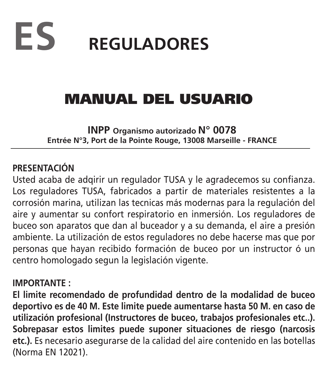

### MANUAL DEL USUARIO

**INPP Organismo autorizado N° 0078 Entrée N°3, Port de la Pointe Rouge, 13008 Marseille - FRANCE**

#### **PRESENTACIÓN**

Usted acaba de adqirir un regulador TUSA y le agradecemos su confianza. Los reguladores TUSA, fabricados a partir de materiales resistentes a la corrosión marina, utilizan las tecnicas más modernas para la regulación del aire y aumentar su confort respiratorio en inmersión. Los reguladores de buceo son aparatos que dan al buceador y a su demanda, el aire a presión ambiente. La utilización de estos reguladores no debe hacerse mas que por personas que hayan recibido formación de buceo por un instructor ó un centro homologado segun la legislación vigente.

#### **IMPORTANTE :**

**El limite recomendado de profundidad dentro de la modalidad de buceo deportivo es de 40 M. Este limite puede aumentarse hasta 50 M. en caso de utilización profesional (Instructores de buceo, trabajos profesionales etc..). Sobrepasar estos limites puede suponer situaciones de riesgo (narcosis etc.).** Es necesario asegurarse de la calidad del aire contenido en las botellas (Norma EN 12021).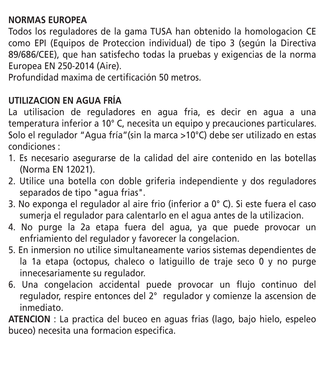#### **NORMAS EUROPEA**

Todos los reguladores de la gama TUSA han obtenido la homologacion CE como EPI (Equipos de Proteccion individual) de tipo 3 (según la Directiva 89/686/CEE), que han satisfecho todas la pruebas y exigencias de la norma Europea EN 250-2014 (Aire).

Profundidad maxima de certificación 50 metros.

#### **UTILIZACION EN AGUA FRÍA**

La utilisacion de reguladores en agua fria, es decir en agua a una temperatura inferior a 10° C, necesita un equipo y precauciones particulares. Solo el regulador "Agua fría"(sin la marca >10°C) debe ser utilizado en estas condiciones :

- 1. Es necesario asegurarse de la calidad del aire contenido en las botellas (Norma EN 12021).
- 2. Utilice una botella con doble griferia independiente y dos reguladores separados de tipo "agua frias".
- 3. No exponga el regulador al aire frio (inferior a 0° C). Si este fuera el caso sumeria el regulador para calentarlo en el agua antes de la utilizacion.
- 4. No purge la 2a etapa fuera del agua, ya que puede provocar un enfriamiento del regulador y favorecer la congelacion.
- 5. En inmersion no utilice simultaneamente varios sistemas dependientes de la 1a etapa (octopus, chaleco o latiguillo de traje seco 0 y no purge innecesariamente su regulador.
- 6. Una congelacion accidental puede provocar un flujo continuo del regulador, respire entonces del 2° regulador y comienze la ascension de inmediato.

**ATENCION** : La practica del buceo en aguas frias (lago, bajo hielo, espeleo buceo) necesita una formacion especifica.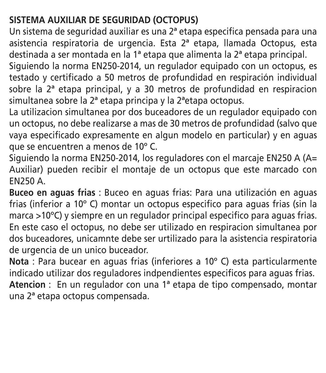#### **SISTEMA AUXILIAR DE SEGURIDAD (OCTOPUS)**

Un sistema de seguridad auxiliar es una 2ª etapa especifica pensada para una asistencia respiratoria de urgencia. Esta 2ª etapa, llamada Octopus, esta destinada a ser montada en la 1ª etapa que alimenta la 2ª etapa principal.

Siguiendo la norma EN250-2014, un regulador equipado con un octopus, es testado y certificado a 50 metros de profundidad en respiración individual sobre la  $2<sup>a</sup>$  etapa principal, y a 30 metros de profundidad en respiracion simultanea sobre la 2ª etapa principa y la 2ªetapa octopus.

La utilizacion simultanea por dos buceadores de un regulador equipado con un octopus, no debe realizarse a mas de 30 metros de profundidad (salvo que vaya especificado expresamente en algun modelo en particular) y en aguas que se encuentren a menos de 10º C.

Siguiendo la norma EN250-2014, los reguladores con el marcaje EN250 A (A= Auxiliar) pueden recibir el montaje de un octopus que este marcado con EN250 A.

**Buceo en aguas frias** : Buceo en aguas frias: Para una utilización en aguas frias (inferior a 10º C) montar un octopus especifico para aguas frias (sin la marca >10ºC) y siempre en un regulador principal especifico para aguas frias. En este caso el octopus, no debe ser utilizado en respiracion simultanea por dos buceadores, unicamnte debe ser urtilizado para la asistencia respiratoria de urgencia de un unico buceador.

**Nota** : Para bucear en aguas frias (inferiores a 10º C) esta particularmente indicado utilizar dos reguladores indpendientes especificos para aguas frias. **Atencion** : En un regulador con una 1ª etapa de tipo compensado, montar una 2ª etapa octopus compensada.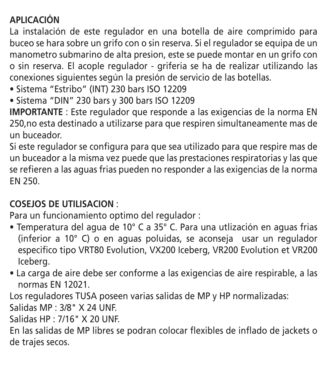#### **APLICACIÓN**

La instalación de este regulador en una botella de aire comprimido para buceo se hara sobre un grifo con o sin reserva. Si el regulador se equipa de un manometro submarino de alta presion, este se puede montar en un grifo con o sin reserva. El acople regulador - griferia se ha de realizar utilizando las conexiones siguientes según la presión de servicio de las botellas.

- · Sistema "Estribo" (INT) 230 bars ISO 12209
- Sistema "DIN" 230 bars v 300 bars ISO 12209

**IMPORTANTE** : Este regulador que responde a las exigencias de la norma EN 250,no esta destinado a utilizarse para que respiren simultaneamente mas de un buceador.

Si este regulador se configura para que sea utilizado para que respire mas de un buceador a la misma vez puede que las prestaciones respiratorias y las que se refieren a las aguas frias pueden no responder a las exigencias de la norma EN 250.

#### **COSEJOS DE UTILISACION** :

Para un funcionamiento optimo del regulador :

- Temperatura del agua de 10° C a 35° C. Para una utlización en aguas frias (inferior a 10° C) o en aguas poluidas, se aconseja usar un regulador especifico tipo VRT80 Evolution, VX200 Iceberg, VR200 Evolution et VR200 Iceberg.
- La carga de aire debe ser conforme a las exigencias de aire respirable, a las normas EN 12021.

Los reguladores TUSA poseen varias salidas de MP y HP normalizadas:

Salidas MP : 3/8" X 24 UNF.

Salidas HP : 7/16" X 20 UNF.

En las salidas de MP libres se podran colocar flexibles de inflado de jackets o de trajes secos.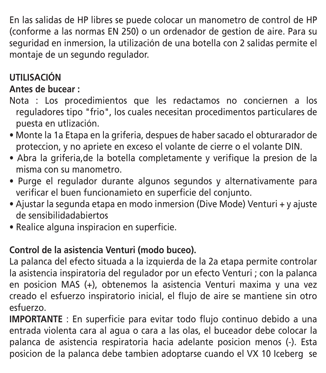En las salidas de HP libres se puede colocar un manometro de control de HP (conforme a las normas EN 250) o un ordenador de gestion de aire. Para su seguridad en inmersion, la utilización de una botella con 2 salidas permite el montaje de un segundo regulador.

#### **UTILISACIÓN**

#### **Antes de bucear :**

- Nota : Los procedimientos que les redactamos no conciernen a los reguladores tipo "frio", los cuales necesitan procedimentos particulares de puesta en utlización.
- Monte la 1a Etapa en la griferia, despues de haber sacado el obturarador de proteccion, y no apriete en exceso el volante de cierre o el volante DIN.
- Abra la griferia de la botella completamente y verifique la presion de la misma con su manometro.
- · Purge el regulador durante algunos segundos y alternativamente para verificar el buen funcionamieto en superficie del conjunto.
- Aiustar la segunda etapa en modo inmersion (Dive Mode) Venturi + y aiuste de sensibilidadabiertos
- Realice alguna inspiracion en superficie.

#### **Control de la asistencia Venturi (modo buceo).**

La palanca del efecto situada a la izquierda de la 2a etapa permite controlar la asistencia inspiratoria del regulador por un efecto Venturi ; con la palanca en posicion MAS (+), obtenemos la asistencia Venturi maxima y una vez creado el esfuerzo inspiratorio inicial, el flujo de aire se mantiene sin otro esfuerzo.

**IMPORTANTE** : En superficie para evitar todo flujo continuo debido a una entrada violenta cara al agua o cara a las olas, el buceador debe colocar la palanca de asistencia respiratoria hacia adelante posicion menos (-). Esta posicion de la palanca debe tambien adoptarse cuando el VX 10 Iceberg se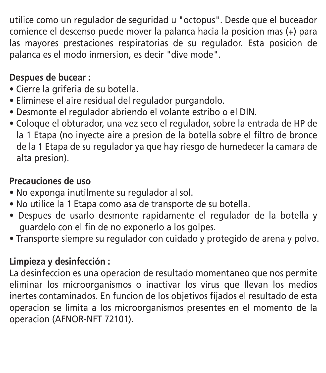utilice como un regulador de seguridad u "octopus". Desde que el buceador comience el descenso puede mover la palanca hacia la posicion mas (+) para las mayores prestaciones respiratorias de su regulador. Esta posicion de palanca es el modo inmersion, es decir "dive mode".

#### **Despues de bucear :**

- · Cierre la griferia de su botella.
- · Eliminese el aire residual del regulador purgandolo.
- · Desmonte el regulador abriendo el volante estribo o el DIN.
- Coloque el obturador, una vez seco el regulador, sobre la entrada de HP de la 1 Etapa (no inyecte aire a presion de la botella sobre el filtro de bronce de la 1 Etapa de su regulador ya que hay riesgo de humedecer la camara de alta presion).

#### **Precauciones de uso**

- No exponga inutilmente su regulador al sol.
- · No utilice la 1 Etapa como asa de transporte de su botella.
- · Despues de usarlo desmonte rapidamente el regulador de la botella y guardelo con el fin de no exponerlo a los golpes.
- Transporte siempre su regulador con cuidado y protegido de arena y polvo.

#### **Limpieza y desinfección :**

La desinfeccion es una operacion de resultado momentaneo que nos permite eliminar los microorganismos o inactivar los virus que llevan los medios inertes contaminados. En funcion de los objetivos fijados el resultado de esta operacion se limita a los microorganismos presentes en el momento de la operacion (AFNOR-NFT 72101).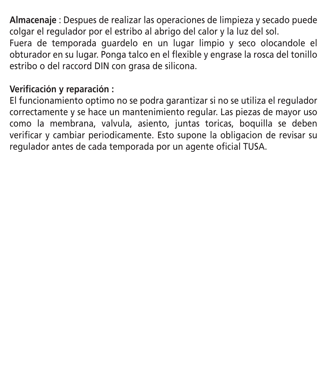**Almacenaje** : Despues de realizar las operaciones de limpieza y secado puede colgar el regulador por el estribo al abrigo del calor y la luz del sol. Fuera de temporada guardelo en un lugar limpio y seco olocandole el obturador en su lugar. Ponga talco en el flexible y engrase la rosca del tonillo estribo o del raccord DIN con grasa de silicona.

#### **Verificación y reparación :**

El funcionamiento optimo no se podra garantizar si no se utiliza el regulador correctamente y se hace un mantenimiento regular. Las piezas de mayor uso como la membrana, valvula, asiento, juntas toricas, boquilla se deben verificar y cambiar periodicamente. Esto supone la obligacion de revisar su regulador antes de cada temporada por un agente oficial TUSA.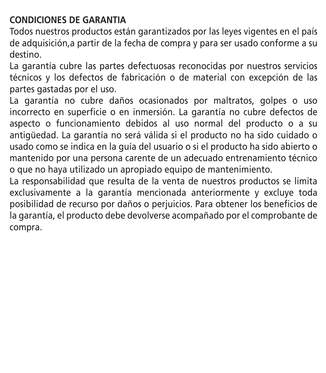#### **CONDICIONES DE GARANTIA**

Todos nuestros productos están garantizados por las leyes vigentes en el país de adquisición,a partir de la fecha de compra y para ser usado conforme a su destino.

La garantía cubre las partes defectuosas reconocidas por nuestros servicios técnicos y los defectos de fabricación o de material con excepción de las partes gastadas por el uso.

La garantía no cubre daños ocasionados por maltratos, golpes o uso incorrecto en superficie o en inmersión. La garantía no cubre defectos de aspecto o funcionamiento debidos al uso normal del producto o a su antigüedad. La garantía no será válida si el producto no ha sido cuidado o usado como se indica en la guía del usuario o si el producto ha sido abierto o mantenido por una persona carente de un adecuado entrenamiento técnico o que no haya utilizado un apropiado equipo de mantenimiento.

La responsabilidad que resulta de la venta de nuestros productos se limita exclusivamente a la garantía mencionada anteriormente y excluye toda posibilidad de recurso por daños o perjuicios. Para obtener los beneficios de la garantía, el producto debe devolverse acompañado por el comprobante de compra.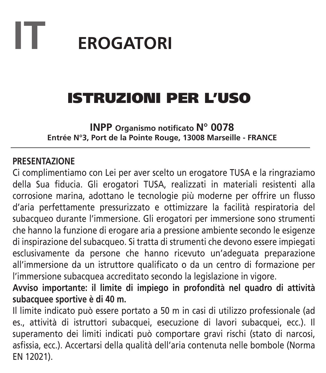## **IT EROGATORI**

## ISTRUZIONI PER L'USO

**INPP Organismo notificato N° 0078 Entrée N°3, Port de la Pointe Rouge, 13008 Marseille - FRANCE**

#### **PRESENTAZIONE**

Ci complimentiamo con Lei per aver scelto un erogatore TUSA e la ringraziamo della Sua fiducia. Gli erogatori TUSA, realizzati in materiali resistenti alla corrosione marina, adottano le tecnologie più moderne per offrire un flusso d'aria perfettamente pressurizzato e ottimizzare la facilità respiratoria del subacqueo durante l'immersione. Gli erogatori per immersione sono strumenti che hanno la funzione di erogare aria a pressione ambiente secondo le esigenze di inspirazione del subacqueo. Si tratta di strumenti che devono essere impiegati esclusivamente da persone che hanno ricevuto un'adeguata preparazione all'immersione da un istruttore qualificato o da un centro di formazione per l'immersione subacquea accreditato secondo la legislazione in vigore.

**Avviso importante: il limite di impiego in profondità nel quadro di attività subacquee sportive è di 40 m.**

Il limite indicato può essere portato a 50 m in casi di utilizzo professionale (ad es., attività di istruttori subacquei, esecuzione di lavori subacquei, ecc.). Il superamento dei limiti indicati può comportare gravi rischi (stato di narcosi, asfissia, ecc.). Accertarsi della qualità dell'aria contenuta nelle bombole (Norma EN 12021).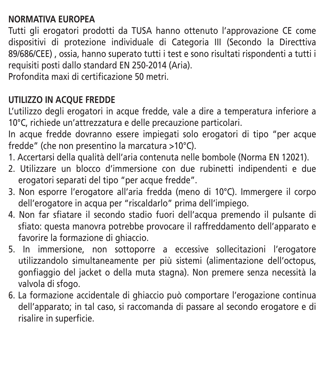#### **NORMATIVA EUROPEA**

Tutti gli erogatori prodotti da TUSA hanno ottenuto l'approvazione CE come dispositivi di protezione individuale di Categoria III (Secondo la Directtiva 89/686/CEE) , ossia, hanno superato tutti i test e sono risultati rispondenti a tutti i requisiti posti dallo standard EN 250-2014 (Aria).

Profondita maxi di certificazione 50 metri.

#### **UTILIZZO IN ACQUE FREDDE**

L'utilizzo degli erogatori in acque fredde, vale a dire a temperatura inferiore a 10°C, richiede un'attrezzatura e delle precauzione particolari.

In acque fredde dovranno essere impiegati solo erogatori di tipo "per acque fredde" (che non presentino la marcatura >10°C).

- 1. Accertarsi della qualità dell'aria contenuta nelle bombole (Norma EN 12021).
- 2. Utilizzare un blocco d'immersione con due rubinetti indipendenti e due erogatori separati del tipo "per acque fredde".
- 3. Non esporre l'erogatore all'aria fredda (meno di 10°C). Immergere il corpo dell'erogatore in acqua per "riscaldarlo" prima dell'impiego.
- 4. Non far sfiatare il secondo stadio fuori dell'acqua premendo il pulsante di sfiato: questa manovra potrebbe provocare il raffreddamento dell'apparato e favorire la formazione di ghiaccio.
- 5. In immersione, non sottoporre a eccessive sollecitazioni l'erogatore utilizzandolo simultaneamente per più sistemi (alimentazione dell'octopus, gonfiaggio del jacket o della muta stagna). Non premere senza necessità la valvola di sfogo.
- 6. La formazione accidentale di ghiaccio può comportare l'erogazione continua dell'apparato; in tal caso, si raccomanda di passare al secondo erogatore e di risalire in superficie.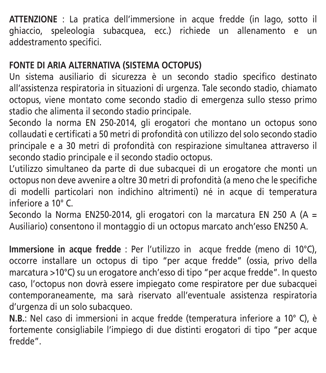**ATTENZIONE** : La pratica dell'immersione in acque fredde (in lago, sotto il ghiaccio, speleologia subacquea, ecc.) richiede un allenamento e un addestramento specifici.

#### **FONTE DI ARIA ALTERNATIVA (SISTEMA OCTOPUS)**

Un sistema ausiliario di sicurezza è un secondo stadio specifico destinato all'assistenza respiratoria in situazioni di urgenza. Tale secondo stadio, chiamato octopus, viene montato come secondo stadio di emergenza sullo stesso primo stadio che alimenta il secondo stadio principale.

Secondo la norma EN 250-2014, gli erogatori che montano un octopus sono collaudati e certificati a 50 metri di profondità con utilizzo del solo secondo stadio principale e a 30 metri di profondità con respirazione simultanea attraverso il secondo stadio principale e il secondo stadio octopus.

L'utilizzo simultaneo da parte di due subacquei di un erogatore che monti un octopus non deve avvenire a oltre 30 metri di profondità (a meno che le specifiche di modelli particolari non indichino altrimenti) né in acque di temperatura inferiore a 10° C.

Secondo la Norma EN250-2014, gli erogatori con la marcatura EN 250 A (A  $=$ Ausiliario) consentono il montaggio di un octopus marcato anch'esso EN250 A.

**Immersione in acque fredde** : Per l'utilizzo in acque fredde (meno di 10°C), occorre installare un octopus di tipo "per acque fredde" (ossia, privo della marcatura >10°C) su un erogatore anch'esso di tipo "per acque fredde". In questo caso, l'octopus non dovrà essere impiegato come respiratore per due subacquei contemporaneamente, ma sarà riservato all'eventuale assistenza respiratoria d'urgenza di un solo subacqueo.

**N.B.**: Nel caso di immersioni in acque fredde (temperatura inferiore a 10° C), è fortemente consigliabile l'impiego di due distinti erogatori di tipo "per acque fredde".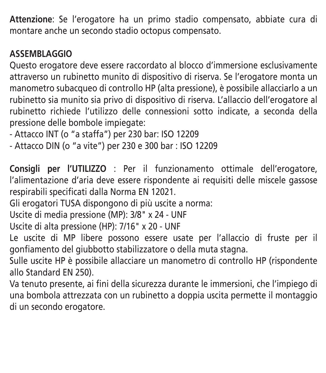**Attenzione**: Se l'erogatore ha un primo stadio compensato, abbiate cura di montare anche un secondo stadio octopus compensato.

#### **ASSEMBLAGGIO**

Questo erogatore deve essere raccordato al blocco d'immersione esclusivamente attraverso un rubinetto munito di dispositivo di riserva. Se l'erogatore monta un manometro subacqueo di controllo HP (alta pressione), è possibile allacciarlo a un rubinetto sia munito sia privo di dispositivo di riserva. L'allaccio dell'erogatore al rubinetto richiede l'utilizzo delle connessioni sotto indicate, a seconda della pressione delle bombole impiegate:

- Attacco INT (o "a staffa") per 230 bar: ISO 12209
- Attacco DIN (o "a vite") per 230 e 300 bar : ISO 12209

**Consigli per l'UTILIZZO** : Per il funzionamento ottimale dell'erogatore, l'alimentazione d'aria deve essere rispondente ai requisiti delle miscele gassose respirabili specificati dalla Norma EN 12021.

Gli erogatori TUSA dispongono di più uscite a norma:

Uscite di media pressione (MP): 3/8" x 24 - UNF

Uscite di alta pressione (HP): 7/16" x 20 - UNF

Le uscite di MP libere possono essere usate per l'allaccio di fruste per il gonfiamento del giubbotto stabilizzatore o della muta stagna.

Sulle uscite HP è possibile allacciare un manometro di controllo HP (rispondente allo Standard EN 250).

Va tenuto presente, ai fini della sicurezza durante le immersioni, che l'impiego di una bombola attrezzata con un rubinetto a doppia uscita permette il montaggio di un secondo erogatore.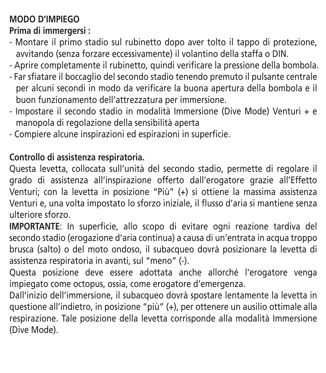### **MODO D'IMPIEGO**

**Prima di immergersi :**

- Montare il primo stadio sul rubinetto dopo aver tolto il tappo di protezione, avvitando (senza forzare eccessivamente) il volantino della staffa o DIN.
- Aprire completamente il rubinetto, quindi verificare la pressione della bombola.
- Far sfiatare il boccaglio del secondo stadio tenendo premuto il pulsante centrale per alcuni secondi in modo da verificare la buona apertura della bombola e il buon funzionamento dell'attrezzatura per immersione.
- Impostare il secondo stadio in modalità Immersione (Dive Mode) Venturi + e manopola di regolazione della sensibilità aperta
- Compiere alcune inspirazioni ed espirazioni in superficie.

#### **Controllo di assistenza respiratoria.**

Questa levetta, collocata sull'unità del secondo stadio, permette di regolare il grado di assistenza all'inspirazione offerto dall'erogatore grazie all'Effetto Venturi; con la levetta in posizione "Più" (+) si ottiene la massima assistenza Venturi e, una volta impostato lo sforzo iniziale, il flusso d'aria si mantiene senza ulteriore sforzo.

**IMPORTANTE**: In superficie, allo scopo di evitare ogni reazione tardiva del secondo stadio (erogazione d'aria continua) a causa di un'entrata in acqua troppo brusca (salto) o del moto ondoso, il subacqueo dovrà posizionare la levetta di assistenza respiratoria in avanti, sul "meno" (-).

Questa posizione deve essere adottata anche allorché l'erogatore venga impiegato come octopus, ossia, come erogatore d'emergenza.

Dall'inizio dell'immersione, il subacqueo dovrà spostare lentamente la levetta in questione all'indietro, in posizione "più" (+), per ottenere un ausilio ottimale alla respirazione. Tale posizione della levetta corrisponde alla modalità Immersione (Dive Mode).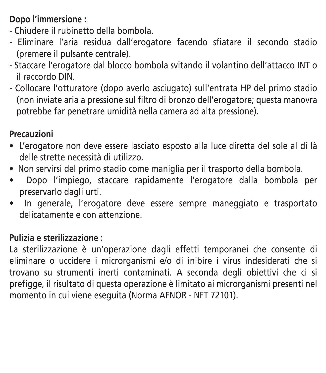#### **Dopo l'immersione :**

- Chiudere il rubinetto della bombola.
- Eliminare l'aria residua dall'erogatore facendo sfiatare il secondo stadio (premere il pulsante centrale).
- Staccare l'erogatore dal blocco bombola svitando il volantino dell'attacco INT o il raccordo DIN.
- Collocare l'otturatore (dopo averlo asciugato) sull'entrata HP del primo stadio (non inviate aria a pressione sul filtro di bronzo dell'erogatore; questa manovra potrebbe far penetrare umidità nella camera ad alta pressione).

#### **Precauzioni**

- · L'erogatore non deve essere lasciato esposto alla luce diretta del sole al di là delle strette necessità di utilizzo.
- · Non servirsi del primo stadio come maniglia per il trasporto della bombola.
- · Dopo l'impiego, staccare rapidamente l'erogatore dalla bombola per preservarlo dagli urti.
- · In generale, l'erogatore deve essere sempre maneggiato e trasportato delicatamente e con attenzione.

#### **Pulizia e sterilizzazione :**

La sterilizzazione è un'operazione dagli effetti temporanei che consente di eliminare o uccidere i microrganismi e/o di inibire i virus indesiderati che si trovano su strumenti inerti contaminati. A seconda degli obiettivi che ci si prefigge, il risultato di questa operazione è limitato ai microrganismi presenti nel momento in cui viene eseguita (Norma AFNOR - NFT 72101).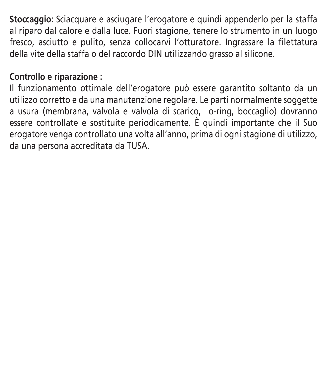**Stoccaggio**: Sciacquare e asciugare l'erogatore e quindi appenderlo per la staffa al riparo dal calore e dalla luce. Fuori stagione, tenere lo strumento in un luogo fresco, asciutto e pulito, senza collocarvi l'otturatore. Ingrassare la filettatura della vite della staffa o del raccordo DIN utilizzando grasso al silicone.

#### **Controllo e riparazione :**

Il funzionamento ottimale dell'erogatore può essere garantito soltanto da un utilizzo corretto e da una manutenzione regolare. Le parti normalmente soggette a usura (membrana, valvola e valvola di scarico, o-ring, boccaglio) dovranno essere controllate e sostituite periodicamente. È quindi importante che il Suo erogatore venga controllato una volta all'anno, prima di ogni stagione di utilizzo, da una persona accreditata da TUSA.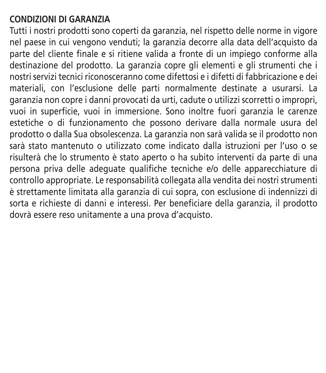#### **CONDIZIONI DI GARANZIA**

Tutti i nostri prodotti sono coperti da garanzia, nel rispetto delle norme in vigore nel paese in cui vengono venduti; la garanzia decorre alla data dell'acquisto da parte del cliente finale e si ritiene valida a fronte di un impiego conforme alla destinazione del prodotto. La garanzia copre gli elementi e gli strumenti che i nostri servizi tecnici riconosceranno come difettosi e i difetti di fabbricazione e dei materiali, con l'esclusione delle parti normalmente destinate a usurarsi. La garanzia non copre i danni provocati da urti, cadute o utilizzi scorretti o impropri, vuoi in superficie, vuoi in immersione. Sono inoltre fuori garanzia le carenze estetiche o di funzionamento che possono derivare dalla normale usura del prodotto o dalla Sua obsolescenza. La garanzia non sarà valida se il prodotto non sarà stato mantenuto o utilizzato come indicato dalla istruzioni per l'uso o se risulterà che lo strumento è stato aperto o ha subito interventi da parte di una persona priva delle adeguate qualifiche tecniche e/o delle apparecchiature di controllo appropriate. Le responsabilità collegata alla vendita dei nostri strumenti è strettamente limitata alla garanzia di cui sopra, con esclusione di indennizzi di sorta e richieste di danni e interessi. Per beneficiare della garanzia, il prodotto dovrà essere reso unitamente a una prova d'acquisto.